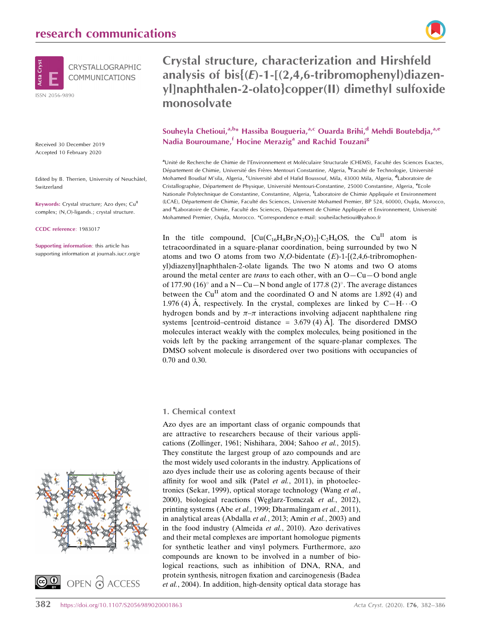

Received 30 December 2019 Accepted 10 February 2020

Edited by B. Therrien, University of Neuchâtel, Switzerland

Keywords: Crystal structure; Azo dyes; Cu<sup>II</sup> complex; (N,O)-ligands.; crystal structure.

CCDC reference: 1983017

Supporting information: this article has supporting information at journals.iucr.org/e





Crystal structure, characterization and Hirshfeld analysis of  $bis$   $(E)-1-[(2,4,6-1)t]$  tribromophenyl)diazenyl]naphthalen-2-olato}copper(II) dimethyl sulfoxide monosolvate

# Souheyla Chetioui,<sup>a,b\*</sup> Hassiba Bougueria,<sup>a,c</sup> Ouarda Brihi,<sup>d</sup> Mehdi Boutebdja,<sup>a,e</sup> Nadia Bouroumane,<sup>f</sup> Hocine Merazig<sup>a</sup> and Rachid Touzani<sup>g</sup>

aUnité de Recherche de Chimie de l'Environnement et Moléculaire Structurale (CHEMS), Faculté des Sciences Exactes, Département de Chimie, Université des Frères Mentouri Constantine, Algeria, <sup>b</sup>Faculté de Technologie, Université Mohamed Boudiaf M'sila, Algeria, <sup>c</sup>Université abd el Hafid Boussouf, Mila, 43000 Mila, Algeria, <sup>d</sup>Laboratoire de Cristallographie, Département de Physique, Université Mentouri-Constantine, 25000 Constantine, Algeria, <sup>e</sup>Ecole Nationale Polytechnique de Constantine, Constantine, Algeria, <sup>f</sup>Laboratoire de Chimie Appliquée et Environnement (LCAE), Département de Chimie, Faculté des Sciences, Université Mohamed Premier, BP 524, 60000, Oujda, Morocco, and <sup>8</sup>Laboratoire de Chimie, Faculté des Sciences, Département de Chimie Appliquée et Environnement, Université Mohammed Premier, Oujda, Morocco. \*Correspondence e-mail: souheilachetioui@yahoo.fr

In the title compound,  $[\text{Cu}(C_{16}H_8Br_3N_2O)_2]\cdot C_2H_6OS$ , the Cu<sup>II</sup> atom is tetracoordinated in a square-planar coordination, being surrounded by two N atoms and two O atoms from two  $N, O$ -bidentate  $(E)$ -1-[(2,4,6-tribromophenyl)diazenyl]naphthalen-2-olate ligands. The two N atoms and two O atoms around the metal center are *trans* to each other, with an  $O - Cu - O$  bond angle of 177.90 (16) $^{\circ}$  and a N-Cu-N bond angle of 177.8 (2) $^{\circ}$ . The average distances between the Cu<sup>II</sup> atom and the coordinated O and N atoms are 1.892 (4) and 1.976 (4) Å, respectively. In the crystal, complexes are linked by  $C-H\cdots O$ hydrogen bonds and by  $\pi-\pi$  interactions involving adjacent naphthalene ring systems [centroid–centroid distance =  $3.679$  (4) Å]. The disordered DMSO molecules interact weakly with the complex molecules, being positioned in the voids left by the packing arrangement of the square-planar complexes. The DMSO solvent molecule is disordered over two positions with occupancies of 0.70 and 0.30.

#### 1. Chemical context

Azo dyes are an important class of organic compounds that are attractive to researchers because of their various applications (Zollinger, 1961; Nishihara, 2004; Sahoo et al., 2015). They constitute the largest group of azo compounds and are the most widely used colorants in the industry. Applications of azo dyes include their use as coloring agents because of their affinity for wool and silk (Patel et al., 2011), in photoelectronics (Sekar, 1999), optical storage technology (Wang et al., 2000), biological reactions (Weglarz-Tomczak et al., 2012), printing systems (Abe et al., 1999; Dharmalingam et al., 2011), in analytical areas (Abdalla et al., 2013; Amin et al., 2003) and in the food industry (Almeida et al., 2010). Azo derivatives and their metal complexes are important homologue pigments for synthetic leather and vinyl polymers. Furthermore, azo compounds are known to be involved in a number of biological reactions, such as inhibition of DNA, RNA, and protein synthesis, nitrogen fixation and carcinogenesis (Badea et al., 2004). In addition, high-density optical data storage has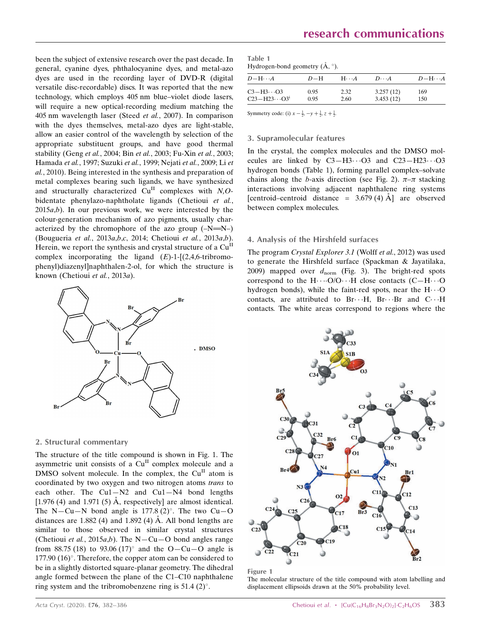been the subject of extensive research over the past decade. In general, cyanine dyes, phthalocyanine dyes, and metal-azo dyes are used in the recording layer of DVD-R (digital versatile disc-recordable) discs. It was reported that the new technology, which employs 405 nm blue–violet diode lasers, will require a new optical-recording medium matching the 405 nm wavelength laser (Steed et al., 2007). In comparison with the dyes themselves, metal-azo dyes are light-stable, allow an easier control of the wavelength by selection of the appropriate substituent groups, and have good thermal stability (Geng et al., 2004; Bin et al., 2003; Fu-Xin et al., 2003; Hamada et al., 1997; Suzuki et al., 1999; Nejati et al., 2009; Li et al., 2010). Being interested in the synthesis and preparation of metal complexes bearing such ligands, we have synthesized and structurally characterized  $\tilde{C}u^{II}$  complexes with  $N, O$ bidentate phenylazo-naphtholate ligands (Chetioui et al.,  $2015a,b$ ). In our previous work, we were interested by the colour-generation mechanism of azo pigments, usually characterized by the chromophore of the azo group  $(-N=N-)$ (Bougueria et al., 2013a,b,c, 2014; Chetioui et al., 2013a,b). Herein, we report the synthesis and crystal structure of a Cu<sup>II</sup> complex incorporating the ligand  $(E)$ -1- $[(2,4,6-$ tribromophenyl)diazenyl]naphthalen-2-ol, for which the structure is known (Chetioui et al., 2013a).



#### 2. Structural commentary

The structure of the title compound is shown in Fig. 1. The asymmetric unit consists of a Cu<sup>II</sup> complex molecule and a DMSO solvent molecule. In the complex, the  $Cu<sup>H</sup>$  atom is coordinated by two oxygen and two nitrogen atoms trans to each other. The Cu1—N2 and Cu1—N4 bond lengths [1.976 (4) and 1.971 (5)  $\AA$ , respectively] are almost identical. The N-Cu-N bond angle is 177.8 (2)°. The two Cu-O distances are  $1.882$  (4) and  $1.892$  (4) A. All bond lengths are similar to those observed in similar crystal structures (Chetioui *et al.*, 2015*a,b*). The N-Cu-O bond angles range from 88.75 (18) to 93.06 (17) $^{\circ}$  and the O-Cu-O angle is 177.90  $(16)^\circ$ . Therefore, the copper atom can be considered to be in a slightly distorted square-planar geometry. The dihedral angle formed between the plane of the C1–C10 naphthalene ring system and the tribromobenzene ring is  $51.4$  (2)°.

| Table 1                                            |  |
|----------------------------------------------------|--|
| Hydrogen-bond geometry $(\mathring{A}, \degree)$ . |  |

| $D-\mathrm{H}\cdots A$         | $D=H$ | $H \cdot \cdot \cdot A$ | $D\cdot\cdot\cdot A$ | $D$ -H $\cdots$ A |
|--------------------------------|-------|-------------------------|----------------------|-------------------|
| $C3 - H3 \cdot \cdot \cdot O3$ | 0.95  | 2.32                    | 3.257(12)            | 169               |
| $C23 - H23 \cdot O3^i$         | 0.95  | 2.60                    | 3.453(12)            | 150               |

Symmetry code: (i)  $x - \frac{1}{2}$ ,  $-y + \frac{1}{2}$ ,  $z + \frac{1}{2}$ .

#### 3. Supramolecular features

In the crystal, the complex molecules and the DMSO molecules are linked by  $C3 - H3 \cdots O3$  and  $C23 - H23 \cdots O3$ hydrogen bonds (Table 1), forming parallel complex–solvate chains along the *b*-axis direction (see Fig. 2).  $\pi-\pi$  stacking interactions involving adjacent naphthalene ring systems [centroid–centroid distance =  $3.679(4)$  Å] are observed between complex molecules.

#### 4. Analysis of the Hirshfeld surfaces

The program Crystal Explorer 3.1 (Wolff et al., 2012) was used to generate the Hirshfeld surface (Spackman & Jayatilaka, 2009) mapped over  $d_{\text{norm}}$  (Fig. 3). The bright-red spots correspond to the  $H \cdots O/O \cdots H$  close contacts (C-H $\cdots$ O hydrogen bonds), while the faint-red spots, near the  $H \cdots O$ contacts, are attributed to  $Br\cdots H$ ,  $Br\cdots Br$  and  $C\cdots H$ contacts. The white areas correspond to regions where the



Figure 1

The molecular structure of the title compound with atom labelling and displacement ellipsoids drawn at the 50% probability level.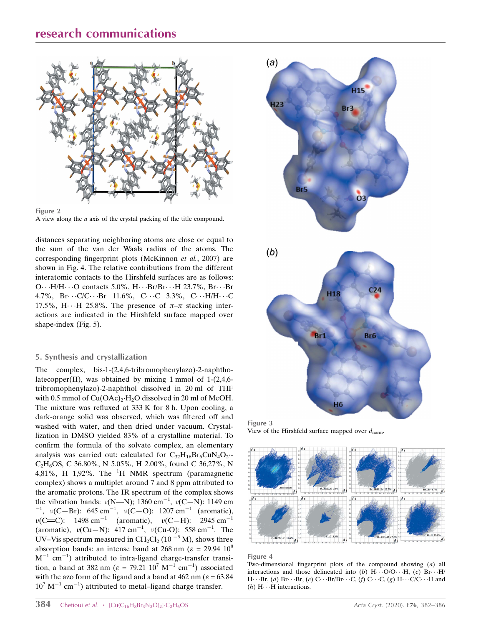# research communications





A view along the a axis of the crystal packing of the title compound.

distances separating neighboring atoms are close or equal to the sum of the van der Waals radius of the atoms. The corresponding fingerprint plots (McKinnon et al., 2007) are shown in Fig. 4. The relative contributions from the different interatomic contacts to the Hirshfeld surfaces are as follows: O $\cdots$ H/H $\cdots$ O contacts 5.0%, H $\cdots$ Br/Br $\cdots$ H 23.7%, Br $\cdots$ Br 4.7%,  $Br\cdots$ C/C $\cdots$ Br 11.6%, C $\cdots$ C 3.3%, C $\cdots$ H/H $\cdots$ C 17.5%, H $\cdots$ H 25.8%. The presence of  $\pi-\pi$  stacking interactions are indicated in the Hirshfeld surface mapped over shape-index (Fig. 5).

## 5. Synthesis and crystallization

The complex, bis-1-(2,4,6-tribromophenylazo)-2-naphtholatecopper(II), was obtained by mixing 1 mmol of  $1-(2,4,6$ tribromophenylazo)-2-naphthol dissolved in 20 ml of THF with 0.5 mmol of  $Cu(OAc)<sub>2</sub>·H<sub>2</sub>O$  dissolved in 20 ml of MeOH. The mixture was refluxed at 333 K for 8 h. Upon cooling, a dark-orange solid was observed, which was filtered off and washed with water, and then dried under vacuum. Crystallization in DMSO yielded 83% of a crystalline material. To confirm the formula of the solvate complex, an elementary analysis was carried out: calculated for  $C_{32}H_{16}Br_6CuN_4O_2$ .  $C_2H_6$ OS, C 36.80%, N 5.05%, H 2.00%, found C 36,27%, N 4,81%, H 1,92%. The  $^{1}$ H NMR spectrum (paramagnetic complex) shows a multiplet around 7 and 8 ppm attributed to the aromatic protons. The IR spectrum of the complex shows the vibration bands:  $v(N=N)$ ; 1360 cm<sup>-1</sup>,  $v(C-N)$ : 1149 cm<br><sup>-1</sup>,  $v(C-Rr)$ : 645 cm<sup>-1</sup>,  $v(C-O)$ : 1207 cm<sup>-1</sup> (gromatic) ,  $\nu(C-Br)$ : 645 cm<sup>-1</sup>,  $\nu(C-O)$ : 1207 cm<sup>-1</sup> (aromatic),  $v(C=C)$ : 1498 cm<sup>-1</sup> (aromatic),  $v(C-H)$ : 2945 cm<sup>-1</sup> (aromatic),  $\nu$ (Cu–N): 417 cm<sup>-1</sup>,  $\nu$ (Cu-O): 558 cm<sup>-1</sup>. The UV–Vis spectrum measured in CH<sub>2</sub>Cl<sub>2</sub> (10<sup>-5</sup> M), shows three absorption bands: an intense band at 268 nm ( $\varepsilon = 29.94 \; 10^8$ )  $M^{-1}$  cm<sup>-1</sup>) attributed to intra-ligand charge-transfer transition, a band at 382 nm ( $\varepsilon = 79.21 \; 10^7 \; \text{M}^{-1} \; \text{cm}^{-1}$ ) associated with the azo form of the ligand and a band at 462 nm ( $\varepsilon$  = 63.84)  $10^7$  M<sup>-1</sup> cm<sup>-1</sup>) attributed to metal-ligand charge transfer.



Figure 3 View of the Hirshfeld surface mapped over  $d_{\text{norm}}$ .



#### Figure 4

Two-dimensional fingerprint plots of the compound showing (a) all interactions and those delineated into (b)  $H \cdots O/O \cdots H$ , (c)  $Br \cdots H/$ H $\cdots$ Br, (*d*) Br $\cdots$ Br, (*e*) C $\cdots$ Br/Br $\cdots$ C, (*f*) C $\cdots$ C, (*g*) H $\cdots$ C/C $\cdots$ H and  $(h)$  H $\cdots$ H interactions.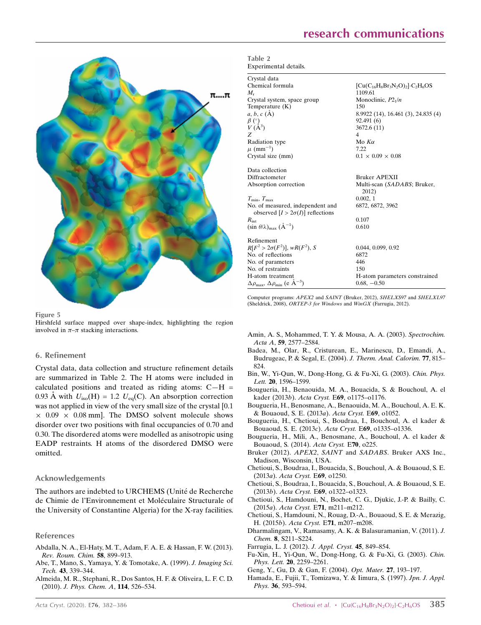

Figure 5

Hirshfeld surface mapped over shape-index, highlighting the region involved in  $\pi-\pi$  stacking interactions.

#### 6. Refinement

Crystal data, data collection and structure refinement details are summarized in Table 2. The H atoms were included in calculated positions and treated as riding atoms:  $C-H =$ 0.93 Å with  $U_{\text{iso}}(H) = 1.2 U_{\text{eq}}(C)$ . An absorption correction was not applied in view of the very small size of the crystal [0.1  $\times$  0.09  $\times$  0.08 mm]. The DMSO solvent molecule shows disorder over two positions with final occupancies of 0.70 and 0.30. The disordered atoms were modelled as anisotropic using EADP restraints. H atoms of the disordered DMSO were omitted.

#### Acknowledgements

The authors are indebted to URCHEMS (Unité de Recherche de Chimie de l'Environnement et Moléculaire Structurale of the University of Constantine Algeria) for the X-ray facilities.

#### References

- [Abdalla, N. A., El-Haty, M. T., Adam, F. A. E. & Hassan, F. W. \(2013\).](http://scripts.iucr.org/cgi-bin/cr.cgi?rm=pdfbb&cnor=tx2018&bbid=BB1) [Rev. Roum. Chim.](http://scripts.iucr.org/cgi-bin/cr.cgi?rm=pdfbb&cnor=tx2018&bbid=BB1) 58, 899–913.
- [Abe, T., Mano, S., Yamaya, Y. & Tomotake, A. \(1999\).](http://scripts.iucr.org/cgi-bin/cr.cgi?rm=pdfbb&cnor=tx2018&bbid=BB2) J. Imaging Sci. Tech. 43[, 339–344.](http://scripts.iucr.org/cgi-bin/cr.cgi?rm=pdfbb&cnor=tx2018&bbid=BB2)
- [Almeida, M. R., Stephani, R., Dos Santos, H. F. & Oliveira, L. F. C. D.](http://scripts.iucr.org/cgi-bin/cr.cgi?rm=pdfbb&cnor=tx2018&bbid=BB3) (2010). [J. Phys. Chem. A](http://scripts.iucr.org/cgi-bin/cr.cgi?rm=pdfbb&cnor=tx2018&bbid=BB3), 114, 526–534.

| Table 2 |                       |
|---------|-----------------------|
|         | Experimental details. |

| Crystal data                                                                |                                      |
|-----------------------------------------------------------------------------|--------------------------------------|
| Chemical formula                                                            | $[Cu(C16H8Br3N2O)2]\cdot C2H6OS$     |
| $M_{\rm r}$                                                                 | 1109.61                              |
| Crystal system, space group                                                 | Monoclinic, $P2_1/n$                 |
| Temperature (K)                                                             | 150                                  |
| $a, b, c (\AA)$                                                             | 8.9922 (14), 16.461 (3), 24.835 (4)  |
| $\begin{array}{c} \beta \ (\^{\circ}) \\ V \ (\AA^3) \end{array}$           | 92.491(6)                            |
|                                                                             | 3672.6 (11)                          |
| Z                                                                           | $\overline{4}$                       |
| Radiation type                                                              | Mo $K\alpha$                         |
| $\mu$ (mm <sup>-1</sup> )                                                   | 7.22                                 |
| Crystal size (mm)                                                           | $0.1 \times 0.09 \times 0.08$        |
| Data collection                                                             |                                      |
| Diffractometer                                                              | <b>Bruker APEXII</b>                 |
| Absorption correction                                                       | Multi-scan (SADABS; Bruker,<br>2012) |
| $T_{\min}, T_{\max}$                                                        | 0.002, 1                             |
| No. of measured, independent and<br>observed $[I > 2\sigma(I)]$ reflections | 6872, 6872, 3962                     |
| $R_{\rm int}$                                                               | 0.107                                |
| $(\sin \theta/\lambda)_{\text{max}} (\text{\AA}^{-1})$                      | 0.610                                |
| Refinement                                                                  |                                      |
| $R[F^2 > 2\sigma(F^2)], wR(F^2), S$                                         | 0.044, 0.099, 0.92                   |
| No. of reflections                                                          | 6872                                 |
| No. of parameters                                                           | 446                                  |
| No. of restraints                                                           | 150                                  |
| H-atom treatment                                                            | H-atom parameters constrained        |
| $\Delta\rho_{\text{max}}$ , $\Delta\rho_{\text{min}}$ (e Å <sup>-3</sup> )  | $0.68, -0.50$                        |

Computer programs: APEX2 and SAINT (Bruker, 2012), SHELXS97 and SHELXL97 (Sheldrick, 2008), ORTEP-3 for Windows and WinGX (Farrugia, 2012).

- [Amin, A. S., Mohammed, T. Y. & Mousa, A. A. \(2003\).](http://scripts.iucr.org/cgi-bin/cr.cgi?rm=pdfbb&cnor=tx2018&bbid=BB4) Spectrochim. Acta A, 59[, 2577–2584.](http://scripts.iucr.org/cgi-bin/cr.cgi?rm=pdfbb&cnor=tx2018&bbid=BB4)
- [Badea, M., Olar, R., Cristurean, E., Marinescu, D., Emandi, A.,](http://scripts.iucr.org/cgi-bin/cr.cgi?rm=pdfbb&cnor=tx2018&bbid=BB5) [Budrugeac, P. & Segal, E. \(2004\).](http://scripts.iucr.org/cgi-bin/cr.cgi?rm=pdfbb&cnor=tx2018&bbid=BB5) J. Therm. Anal. Calorim. 77, 815– [824.](http://scripts.iucr.org/cgi-bin/cr.cgi?rm=pdfbb&cnor=tx2018&bbid=BB5)
- [Bin, W., Yi-Qun, W., Dong-Hong, G. & Fu-Xi, G. \(2003\).](http://scripts.iucr.org/cgi-bin/cr.cgi?rm=pdfbb&cnor=tx2018&bbid=BB6) Chin. Phys. Lett. **20**, 1596-1599.
- [Bougueria, H., Benaouida, M. A., Bouacida, S. & Bouchoul, A. el](http://scripts.iucr.org/cgi-bin/cr.cgi?rm=pdfbb&cnor=tx2018&bbid=BB7) kader (2013b). Acta Cryst. E69[, o1175–o1176.](http://scripts.iucr.org/cgi-bin/cr.cgi?rm=pdfbb&cnor=tx2018&bbid=BB7)
- [Bougueria, H., Benosmane, A., Benaouida, M. A., Bouchoul, A. E. K.](http://scripts.iucr.org/cgi-bin/cr.cgi?rm=pdfbb&cnor=tx2018&bbid=BB8) [& Bouaoud, S. E. \(2013](http://scripts.iucr.org/cgi-bin/cr.cgi?rm=pdfbb&cnor=tx2018&bbid=BB8)a). Acta Cryst. E69, o1052.
- [Bougueria, H., Chetioui, S., Boudraa, I., Bouchoul, A. el kader &](http://scripts.iucr.org/cgi-bin/cr.cgi?rm=pdfbb&cnor=tx2018&bbid=BB9) [Bouaoud, S. E. \(2013](http://scripts.iucr.org/cgi-bin/cr.cgi?rm=pdfbb&cnor=tx2018&bbid=BB9)c). Acta Cryst. E69, o1335–o1336.
- [Bougueria, H., Mili, A., Benosmane, A., Bouchoul, A. el kader &](http://scripts.iucr.org/cgi-bin/cr.cgi?rm=pdfbb&cnor=tx2018&bbid=BB10) [Bouaoud, S. \(2014\).](http://scripts.iucr.org/cgi-bin/cr.cgi?rm=pdfbb&cnor=tx2018&bbid=BB10) Acta Cryst. E70, o225.
- Bruker (2012). APEX2, SAINT and SADABS[. Bruker AXS Inc.,](http://scripts.iucr.org/cgi-bin/cr.cgi?rm=pdfbb&cnor=tx2018&bbid=BB35) [Madison, Wisconsin, USA.](http://scripts.iucr.org/cgi-bin/cr.cgi?rm=pdfbb&cnor=tx2018&bbid=BB35)
- [Chetioui, S., Boudraa, I., Bouacida, S., Bouchoul, A. & Bouaoud, S. E.](http://scripts.iucr.org/cgi-bin/cr.cgi?rm=pdfbb&cnor=tx2018&bbid=BB11) (2013a). [Acta Cryst.](http://scripts.iucr.org/cgi-bin/cr.cgi?rm=pdfbb&cnor=tx2018&bbid=BB11) E69, o1250.
- [Chetioui, S., Boudraa, I., Bouacida, S., Bouchoul, A. & Bouaoud, S. E.](http://scripts.iucr.org/cgi-bin/cr.cgi?rm=pdfbb&cnor=tx2018&bbid=BB12) (2013b). Acta Cryst. E69[, o1322–o1323.](http://scripts.iucr.org/cgi-bin/cr.cgi?rm=pdfbb&cnor=tx2018&bbid=BB12)
- [Chetioui, S., Hamdouni, N., Bochet, C. G., Djukic, J.-P. & Bailly, C.](http://scripts.iucr.org/cgi-bin/cr.cgi?rm=pdfbb&cnor=tx2018&bbid=BB13) (2015a). Acta Cryst. E71[, m211–m212.](http://scripts.iucr.org/cgi-bin/cr.cgi?rm=pdfbb&cnor=tx2018&bbid=BB13)
- [Chetioui, S., Hamdouni, N., Rouag, D.-A., Bouaoud, S. E. & Merazig,](http://scripts.iucr.org/cgi-bin/cr.cgi?rm=pdfbb&cnor=tx2018&bbid=BB14) H. (2015b). Acta Cryst. E71[, m207–m208.](http://scripts.iucr.org/cgi-bin/cr.cgi?rm=pdfbb&cnor=tx2018&bbid=BB14)
- [Dharmalingam, V., Ramasamy, A. K. & Balasuramanian, V. \(2011\).](http://scripts.iucr.org/cgi-bin/cr.cgi?rm=pdfbb&cnor=tx2018&bbid=BB15) J. Chem. 8[, S211–S224.](http://scripts.iucr.org/cgi-bin/cr.cgi?rm=pdfbb&cnor=tx2018&bbid=BB15)
- [Farrugia, L. J. \(2012\).](http://scripts.iucr.org/cgi-bin/cr.cgi?rm=pdfbb&cnor=tx2018&bbid=BB16) J. Appl. Cryst. 45, 849–854.
- [Fu-Xin, H., Yi-Qun, W., Dong-Hong, G. & Fu-Xi, G. \(2003\).](http://scripts.iucr.org/cgi-bin/cr.cgi?rm=pdfbb&cnor=tx2018&bbid=BB17) Chin. Phys. Lett. 20[, 2259–2261.](http://scripts.iucr.org/cgi-bin/cr.cgi?rm=pdfbb&cnor=tx2018&bbid=BB17)
- [Geng, Y., Gu, D. & Gan, F. \(2004\).](http://scripts.iucr.org/cgi-bin/cr.cgi?rm=pdfbb&cnor=tx2018&bbid=BB18) Opt. Mater. 27, 193–197.
- [Hamada, E., Fujii, T., Tomizawa, Y. & Iimura, S. \(1997\).](http://scripts.iucr.org/cgi-bin/cr.cgi?rm=pdfbb&cnor=tx2018&bbid=BB19) Jpn. J. Appl. Phys. 36[, 593–594.](http://scripts.iucr.org/cgi-bin/cr.cgi?rm=pdfbb&cnor=tx2018&bbid=BB19)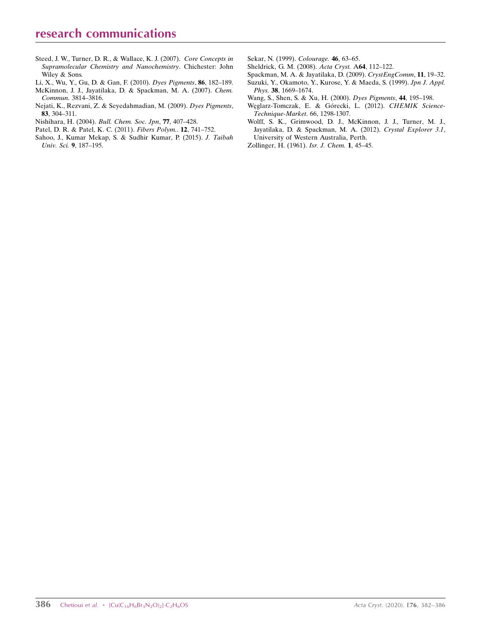- [Steed, J. W., Turner, D. R., & Wallace, K. J. \(2007\).](http://scripts.iucr.org/cgi-bin/cr.cgi?rm=pdfbb&cnor=tx2018&bbid=BB33) Core Concepts in [Supramolecular Chemistry and Nanochemistry](http://scripts.iucr.org/cgi-bin/cr.cgi?rm=pdfbb&cnor=tx2018&bbid=BB33). Chichester: John [Wiley & Sons.](http://scripts.iucr.org/cgi-bin/cr.cgi?rm=pdfbb&cnor=tx2018&bbid=BB33)
- [Li, X., Wu, Y., Gu, D. & Gan, F. \(2010\).](http://scripts.iucr.org/cgi-bin/cr.cgi?rm=pdfbb&cnor=tx2018&bbid=BB21) Dyes Pigments, 86, 182–189.
- [McKinnon, J. J., Jayatilaka, D. & Spackman, M. A. \(2007\).](http://scripts.iucr.org/cgi-bin/cr.cgi?rm=pdfbb&cnor=tx2018&bbid=BB22) Chem. Commun. [3814–3816.](http://scripts.iucr.org/cgi-bin/cr.cgi?rm=pdfbb&cnor=tx2018&bbid=BB22)
- [Nejati, K., Rezvani, Z. & Seyedahmadian, M. \(2009\).](http://scripts.iucr.org/cgi-bin/cr.cgi?rm=pdfbb&cnor=tx2018&bbid=BB23) Dyes Pigments, 83[, 304–311.](http://scripts.iucr.org/cgi-bin/cr.cgi?rm=pdfbb&cnor=tx2018&bbid=BB23)
- [Nishihara, H. \(2004\).](http://scripts.iucr.org/cgi-bin/cr.cgi?rm=pdfbb&cnor=tx2018&bbid=BB24) Bull. Chem. Soc. Jpn, 77, 407–428.
- [Patel, D. R. & Patel, K. C. \(2011\).](http://scripts.iucr.org/cgi-bin/cr.cgi?rm=pdfbb&cnor=tx2018&bbid=BB25) Fibers Polym.. 12, 741–752.
- [Sahoo, J., Kumar Mekap, S. & Sudhir Kumar, P. \(2015\).](http://scripts.iucr.org/cgi-bin/cr.cgi?rm=pdfbb&cnor=tx2018&bbid=BB26) J. Taibah Univ. Sci. 9[, 187–195.](http://scripts.iucr.org/cgi-bin/cr.cgi?rm=pdfbb&cnor=tx2018&bbid=BB26)
- [Sekar, N. \(1999\).](http://scripts.iucr.org/cgi-bin/cr.cgi?rm=pdfbb&cnor=tx2018&bbid=BB27) Colourage. 46, 63–65.
- [Sheldrick, G. M. \(2008\).](http://scripts.iucr.org/cgi-bin/cr.cgi?rm=pdfbb&cnor=tx2018&bbid=BB28) Acta Cryst. A64, 112–122.
- [Spackman, M. A. & Jayatilaka, D. \(2009\).](http://scripts.iucr.org/cgi-bin/cr.cgi?rm=pdfbb&cnor=tx2018&bbid=BB29) CrystEngComm, 11, 19–32.
- [Suzuki, Y., Okamoto, Y., Kurose, Y. & Maeda, S. \(1999\).](http://scripts.iucr.org/cgi-bin/cr.cgi?rm=pdfbb&cnor=tx2018&bbid=BB30) Jpn J. Appl. Phys. 38[, 1669–1674.](http://scripts.iucr.org/cgi-bin/cr.cgi?rm=pdfbb&cnor=tx2018&bbid=BB30)
- [Wang, S., Shen, S. & Xu, H. \(2000\).](http://scripts.iucr.org/cgi-bin/cr.cgi?rm=pdfbb&cnor=tx2018&bbid=BB31) Dyes Pigments, 44, 195–198.
- Węglarz-Tomczak, E. & Górecki, L. (2012). CHEMIK Science-[Technique-Market](http://scripts.iucr.org/cgi-bin/cr.cgi?rm=pdfbb&cnor=tx2018&bbid=BB32). 66, 1298-1307.
- [Wolff, S. K., Grimwood, D. J., McKinnon, J. J., Turner, M. J.,](http://scripts.iucr.org/cgi-bin/cr.cgi?rm=pdfbb&cnor=tx2018&bbid=BB33) [Jayatilaka, D. & Spackman, M. A. \(2012\).](http://scripts.iucr.org/cgi-bin/cr.cgi?rm=pdfbb&cnor=tx2018&bbid=BB33) Crystal Explorer 3.1, [University of Western Australia, Perth.](http://scripts.iucr.org/cgi-bin/cr.cgi?rm=pdfbb&cnor=tx2018&bbid=BB33)
- [Zollinger, H. \(1961\).](http://scripts.iucr.org/cgi-bin/cr.cgi?rm=pdfbb&cnor=tx2018&bbid=BB34) Isr. J. Chem. 1, 45–45.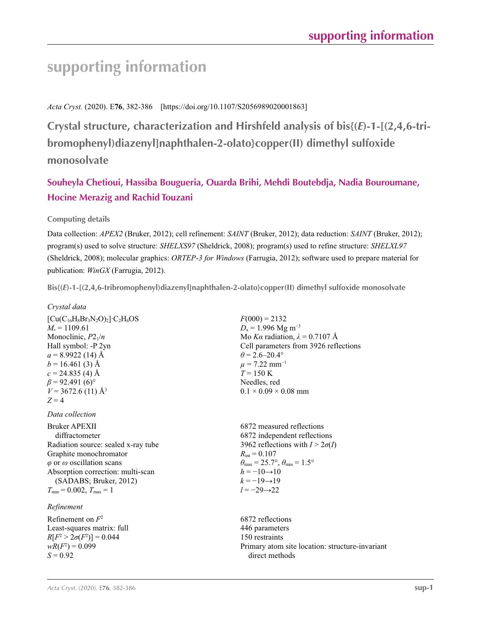# **supporting information**

*Acta Cryst.* (2020). E**76**, 382-386 [https://doi.org/10.1107/S2056989020001863]

**Crystal structure, characterization and Hirshfeld analysis of bis{(***E***)-1-[(2,4,6-tribromophenyl)diazenyl]naphthalen-2-olato}copper(II) dimethyl sulfoxide monosolvate**

# **Souheyla Chetioui, Hassiba Bougueria, Ouarda Brihi, Mehdi Boutebdja, Nadia Bouroumane, Hocine Merazig and Rachid Touzani**

## **Computing details**

Data collection: *APEX2* (Bruker, 2012); cell refinement: *SAINT* (Bruker, 2012); data reduction: *SAINT* (Bruker, 2012); program(s) used to solve structure: *SHELXS97* (Sheldrick, 2008); program(s) used to refine structure: *SHELXL97* (Sheldrick, 2008); molecular graphics: *ORTEP*-*3 for Windows* (Farrugia, 2012); software used to prepare material for publication: *WinGX* (Farrugia, 2012).

**Bis{(***E***)-1-[(2,4,6-tribromophenyl)diazenyl]naphthalen-2-olato}copper(II) dimethyl sulfoxide monosolvate** 

## *Crystal data*

 $[Cu(C_{16}H_8Br_3N_2O)_2]$ <sup>-</sup>C<sub>2</sub>H<sub>6</sub>OS  $M_r = 1109.61$ Monoclinic,  $P2_1/n$ Hall symbol: -P 2yn  $a = 8.9922(14)$  Å  $b = 16.461(3)$  Å  $c = 24.835(4)$  Å  $\beta$  = 92.491 (6)<sup>o</sup>  $V = 3672.6$  (11) Å<sup>3</sup>  $Z = 4$ 

*Data collection*

Bruker APEXII diffractometer Radiation source: sealed x-ray tube Graphite monochromator *φ* or *ω* oscillation scans Absorption correction: multi-scan (SADABS; Bruker, 2012)  $T_{\min} = 0.002, T_{\max} = 1$ 

## *Refinement*

Refinement on *F*<sup>2</sup> Least-squares matrix: full *R*[ $F^2 > 2\sigma(F^2)$ ] = 0.044  $wR(F^2) = 0.099$  $S = 0.92$ 

 $F(000) = 2132$  $D_x = 1.996$  Mg m<sup>-3</sup> Mo *Kα* radiation,  $\lambda = 0.7107$  Å Cell parameters from 3926 reflections  $\theta$  = 2.6–20.4°  $\mu$  = 7.22 mm<sup>-1</sup>  $T = 150 \text{ K}$ Needles, red  $0.1 \times 0.09 \times 0.08$  mm

6872 measured reflections 6872 independent reflections 3962 reflections with  $I > 2\sigma(I)$  $R_{\text{int}} = 0.107$  $\theta_{\text{max}} = 25.7^{\circ}, \theta_{\text{min}} = 1.5^{\circ}$  $h = -10 \rightarrow 10$  $k = -19 \rightarrow 19$ *l* = −29→22

6872 reflections 446 parameters 150 restraints Primary atom site location: structure-invariant direct methods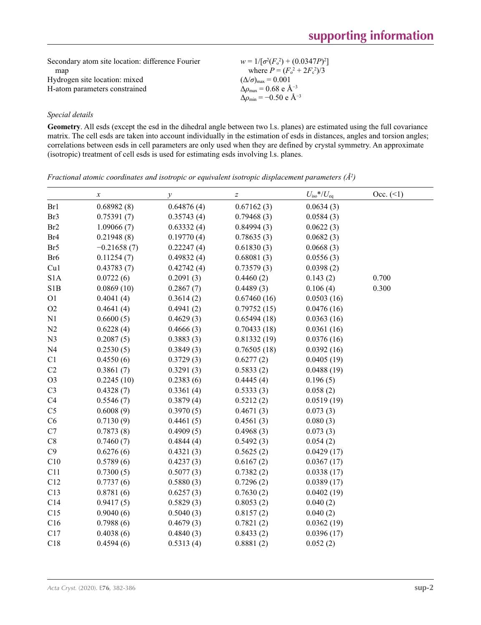| Secondary atom site location: difference Fourier | $w = 1/[\sigma^2(F_0^2) + (0.0347P)^2]$         |
|--------------------------------------------------|-------------------------------------------------|
| map                                              | where $P = (F_o^2 + 2F_c^2)/3$                  |
| Hydrogen site location: mixed                    | $(\Delta/\sigma)_{\text{max}} = 0.001$          |
| H-atom parameters constrained                    | $\Delta\rho_{\rm max} = 0.68 \text{ e A}^{-3}$  |
|                                                  | $\Delta\rho_{\rm min} = -0.50 \text{ e A}^{-3}$ |

## *Special details*

**Geometry**. All esds (except the esd in the dihedral angle between two l.s. planes) are estimated using the full covariance matrix. The cell esds are taken into account individually in the estimation of esds in distances, angles and torsion angles; correlations between esds in cell parameters are only used when they are defined by crystal symmetry. An approximate (isotropic) treatment of cell esds is used for estimating esds involving l.s. planes.

|                  | $\boldsymbol{\chi}$ | $\mathcal{Y}% =\mathcal{Y}^{\prime }\left( \mathcal{Y}^{\prime }\right)$ | $\boldsymbol{Z}$ | $U_{\rm iso}$ */ $U_{\rm eq}$ | $Occ. ( \le 1)$ |
|------------------|---------------------|--------------------------------------------------------------------------|------------------|-------------------------------|-----------------|
| Br1              | 0.68982(8)          | 0.64876(4)                                                               | 0.67162(3)       | 0.0634(3)                     |                 |
| Br3              | 0.75391(7)          | 0.35743(4)                                                               | 0.79468(3)       | 0.0584(3)                     |                 |
| Br <sub>2</sub>  | 1.09066(7)          | 0.63332(4)                                                               | 0.84994(3)       | 0.0622(3)                     |                 |
| Br <sub>4</sub>  | 0.21948(8)          | 0.19770(4)                                                               | 0.78635(3)       | 0.0682(3)                     |                 |
| Br <sub>5</sub>  | $-0.21658(7)$       | 0.22247(4)                                                               | 0.61830(3)       | 0.0668(3)                     |                 |
| Br <sub>6</sub>  | 0.11254(7)          | 0.49832(4)                                                               | 0.68081(3)       | 0.0556(3)                     |                 |
| Cu1              | 0.43783(7)          | 0.42742(4)                                                               | 0.73579(3)       | 0.0398(2)                     |                 |
| S <sub>1</sub> A | 0.0722(6)           | 0.2091(3)                                                                | 0.4460(2)        | 0.143(2)                      | 0.700           |
| S1B              | 0.0869(10)          | 0.2867(7)                                                                | 0.4489(3)        | 0.106(4)                      | 0.300           |
| O <sub>1</sub>   | 0.4041(4)           | 0.3614(2)                                                                | 0.67460(16)      | 0.0503(16)                    |                 |
| O2               | 0.4641(4)           | 0.4941(2)                                                                | 0.79752(15)      | 0.0476(16)                    |                 |
| N1               | 0.6600(5)           | 0.4629(3)                                                                | 0.65494(18)      | 0.0363(16)                    |                 |
| N2               | 0.6228(4)           | 0.4666(3)                                                                | 0.70433(18)      | 0.0361(16)                    |                 |
| N <sub>3</sub>   | 0.2087(5)           | 0.3883(3)                                                                | 0.81332(19)      | 0.0376(16)                    |                 |
| N <sub>4</sub>   | 0.2530(5)           | 0.3849(3)                                                                | 0.76505(18)      | 0.0392(16)                    |                 |
| C1               | 0.4550(6)           | 0.3729(3)                                                                | 0.6277(2)        | 0.0405(19)                    |                 |
| C2               | 0.3861(7)           | 0.3291(3)                                                                | 0.5833(2)        | 0.0488(19)                    |                 |
| O <sub>3</sub>   | 0.2245(10)          | 0.2383(6)                                                                | 0.4445(4)        | 0.196(5)                      |                 |
| C <sub>3</sub>   | 0.4328(7)           | 0.3361(4)                                                                | 0.5333(3)        | 0.058(2)                      |                 |
| C4               | 0.5546(7)           | 0.3879(4)                                                                | 0.5212(2)        | 0.0519(19)                    |                 |
| C <sub>5</sub>   | 0.6008(9)           | 0.3970(5)                                                                | 0.4671(3)        | 0.073(3)                      |                 |
| C6               | 0.7130(9)           | 0.4461(5)                                                                | 0.4561(3)        | 0.080(3)                      |                 |
| C7               | 0.7873(8)           | 0.4909(5)                                                                | 0.4968(3)        | 0.073(3)                      |                 |
| $\mbox{C}8$      | 0.7460(7)           | 0.4844(4)                                                                | 0.5492(3)        | 0.054(2)                      |                 |
| C9               | 0.6276(6)           | 0.4321(3)                                                                | 0.5625(2)        | 0.0429(17)                    |                 |
| C10              | 0.5789(6)           | 0.4237(3)                                                                | 0.6167(2)        | 0.0367(17)                    |                 |
| C11              | 0.7300(5)           | 0.5077(3)                                                                | 0.7382(2)        | 0.0338(17)                    |                 |
| C12              | 0.7737(6)           | 0.5880(3)                                                                | 0.7296(2)        | 0.0389(17)                    |                 |
| C13              | 0.8781(6)           | 0.6257(3)                                                                | 0.7630(2)        | 0.0402(19)                    |                 |
| C14              | 0.9417(5)           | 0.5829(3)                                                                | 0.8053(2)        | 0.040(2)                      |                 |
| C15              | 0.9040(6)           | 0.5040(3)                                                                | 0.8157(2)        | 0.040(2)                      |                 |
| C16              | 0.7988(6)           | 0.4679(3)                                                                | 0.7821(2)        | 0.0362(19)                    |                 |
| C17              | 0.4038(6)           | 0.4840(3)                                                                | 0.8433(2)        | 0.0396(17)                    |                 |
| C18              | 0.4594(6)           | 0.5313(4)                                                                | 0.8881(2)        | 0.052(2)                      |                 |

*Fractional atomic coordinates and isotropic or equivalent isotropic displacement parameters (Å<sup>2</sup>)*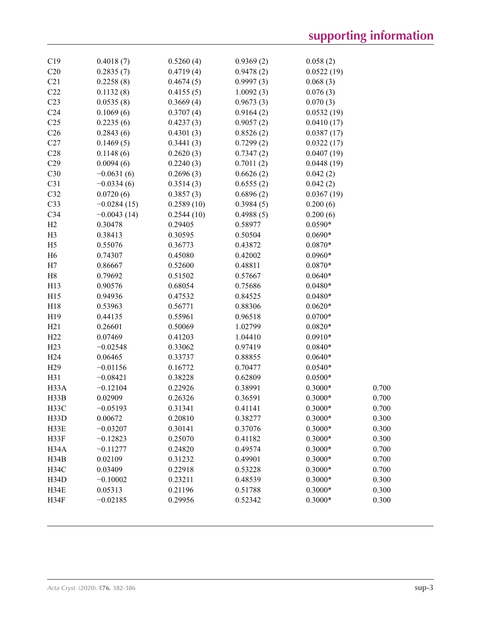| C19             | 0.4018(7)     | 0.5260(4)  | 0.9369(2) | 0.058(2)   |       |
|-----------------|---------------|------------|-----------|------------|-------|
| C20             | 0.2835(7)     | 0.4719(4)  | 0.9478(2) | 0.0522(19) |       |
| C21             | 0.2258(8)     | 0.4674(5)  | 0.9997(3) | 0.068(3)   |       |
| C22             | 0.1132(8)     | 0.4155(5)  | 1.0092(3) | 0.076(3)   |       |
| C <sub>23</sub> | 0.0535(8)     | 0.3669(4)  | 0.9673(3) | 0.070(3)   |       |
| C <sub>24</sub> | 0.1069(6)     | 0.3707(4)  | 0.9164(2) | 0.0532(19) |       |
| C <sub>25</sub> | 0.2235(6)     | 0.4237(3)  | 0.9057(2) | 0.0410(17) |       |
| C <sub>26</sub> | 0.2843(6)     | 0.4301(3)  | 0.8526(2) | 0.0387(17) |       |
| C27             | 0.1469(5)     | 0.3441(3)  | 0.7299(2) | 0.0322(17) |       |
| C28             | 0.1148(6)     | 0.2620(3)  | 0.7347(2) | 0.0407(19) |       |
| C29             | 0.0094(6)     | 0.2240(3)  | 0.7011(2) | 0.0448(19) |       |
| C30             | $-0.0631(6)$  | 0.2696(3)  | 0.6626(2) | 0.042(2)   |       |
| C31             | $-0.0334(6)$  | 0.3514(3)  | 0.6555(2) | 0.042(2)   |       |
| C32             | 0.0720(6)     | 0.3857(3)  | 0.6896(2) | 0.0367(19) |       |
| C33             | $-0.0284(15)$ | 0.2589(10) | 0.3984(5) | 0.200(6)   |       |
| C <sub>34</sub> | $-0.0043(14)$ | 0.2544(10) | 0.4988(5) | 0.200(6)   |       |
| H2              | 0.30478       | 0.29405    | 0.58977   | $0.0590*$  |       |
| H <sub>3</sub>  | 0.38413       | 0.30595    | 0.50504   | $0.0690*$  |       |
| H <sub>5</sub>  | 0.55076       | 0.36773    | 0.43872   | $0.0870*$  |       |
| H <sub>6</sub>  | 0.74307       | 0.45080    | 0.42002   | $0.0960*$  |       |
| H7              | 0.86667       | 0.52600    | 0.48811   | $0.0870*$  |       |
| H8              | 0.79692       | 0.51502    | 0.57667   | $0.0640*$  |       |
| H13             | 0.90576       | 0.68054    | 0.75686   | $0.0480*$  |       |
| H15             | 0.94936       | 0.47532    | 0.84525   | $0.0480*$  |       |
| H18             | 0.53963       | 0.56771    | 0.88306   | $0.0620*$  |       |
| H19             | 0.44135       | 0.55961    | 0.96518   | $0.0700*$  |       |
| H21             | 0.26601       | 0.50069    | 1.02799   | $0.0820*$  |       |
| H22             | 0.07469       | 0.41203    | 1.04410   | $0.0910*$  |       |
| H23             | $-0.02548$    | 0.33062    | 0.97419   | $0.0840*$  |       |
| H <sub>24</sub> | 0.06465       | 0.33737    | 0.88855   | $0.0640*$  |       |
| H <sub>29</sub> | $-0.01156$    | 0.16772    | 0.70477   | $0.0540*$  |       |
| H31             | $-0.08421$    | 0.38228    | 0.62809   | $0.0500*$  |       |
| H33A            | $-0.12104$    | 0.22926    | 0.38991   | $0.3000*$  | 0.700 |
| H33B            | 0.02909       | 0.26326    | 0.36591   | $0.3000*$  | 0.700 |
| H33C            | $-0.05193$    | 0.31341    | 0.41141   | $0.3000*$  | 0.700 |
| H33D            | 0.00672       | 0.20810    | 0.38277   | $0.3000*$  | 0.300 |
| H33E            | $-0.03207$    | 0.30141    | 0.37076   | $0.3000*$  | 0.300 |
| H33F            | $-0.12823$    | 0.25070    | 0.41182   | $0.3000*$  | 0.300 |
| H34A            | $-0.11277$    | 0.24820    | 0.49574   | $0.3000*$  | 0.700 |
| H34B            | 0.02109       | 0.31232    | 0.49901   | $0.3000*$  | 0.700 |
| <b>H34C</b>     | 0.03409       | 0.22918    | 0.53228   | $0.3000*$  | 0.700 |
| H34D            | $-0.10002$    | 0.23211    | 0.48539   | $0.3000*$  | 0.300 |
| H34E            | 0.05313       | 0.21196    | 0.51788   | $0.3000*$  | 0.300 |
| H34F            | $-0.02185$    | 0.29956    | 0.52342   | $0.3000*$  | 0.300 |
|                 |               |            |           |            |       |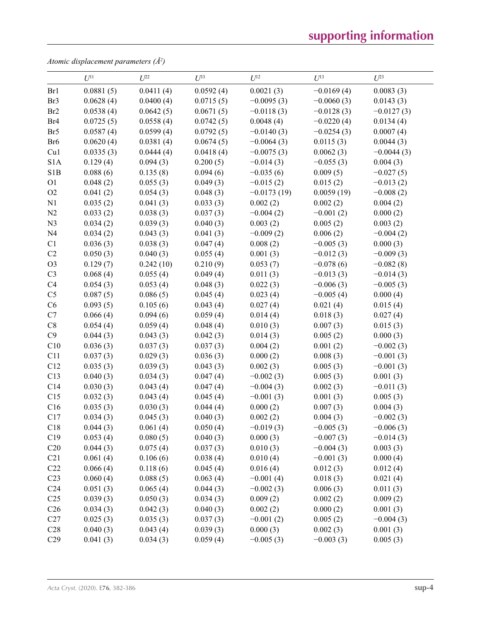# **supporting information**

*Atomic displacement parameters (Å2 )*

|                  | $U^{11}$  | $U^{22}$  | $U^{33}$  | $U^{12}$      | $U^{13}$     | $U^{23}$     |
|------------------|-----------|-----------|-----------|---------------|--------------|--------------|
| Br1              | 0.0881(5) | 0.0411(4) | 0.0592(4) | 0.0021(3)     | $-0.0169(4)$ | 0.0083(3)    |
| Br3              | 0.0628(4) | 0.0400(4) | 0.0715(5) | $-0.0095(3)$  | $-0.0060(3)$ | 0.0143(3)    |
| Br <sub>2</sub>  | 0.0538(4) | 0.0642(5) | 0.0671(5) | $-0.0118(3)$  | $-0.0128(3)$ | $-0.0127(3)$ |
| Br <sub>4</sub>  | 0.0725(5) | 0.0558(4) | 0.0742(5) | 0.0048(4)     | $-0.0220(4)$ | 0.0134(4)    |
| Br <sub>5</sub>  | 0.0587(4) | 0.0599(4) | 0.0792(5) | $-0.0140(3)$  | $-0.0254(3)$ | 0.0007(4)    |
| Br <sub>6</sub>  | 0.0620(4) | 0.0381(4) | 0.0674(5) | $-0.0064(3)$  | 0.0115(3)    | 0.0044(3)    |
| Cu1              | 0.0335(3) | 0.0444(4) | 0.0418(4) | $-0.0075(3)$  | 0.0062(3)    | $-0.0044(3)$ |
| S <sub>1</sub> A | 0.129(4)  | 0.094(3)  | 0.200(5)  | $-0.014(3)$   | $-0.055(3)$  | 0.004(3)     |
| S <sub>1</sub> B | 0.088(6)  | 0.135(8)  | 0.094(6)  | $-0.035(6)$   | 0.009(5)     | $-0.027(5)$  |
| O <sub>1</sub>   | 0.048(2)  | 0.055(3)  | 0.049(3)  | $-0.015(2)$   | 0.015(2)     | $-0.013(2)$  |
| O2               | 0.041(2)  | 0.054(3)  | 0.048(3)  | $-0.0173(19)$ | 0.0059(19)   | $-0.008(2)$  |
| N1               | 0.035(2)  | 0.041(3)  | 0.033(3)  | 0.002(2)      | 0.002(2)     | 0.004(2)     |
| N2               | 0.033(2)  | 0.038(3)  | 0.037(3)  | $-0.004(2)$   | $-0.001(2)$  | 0.000(2)     |
| N <sub>3</sub>   | 0.034(2)  | 0.039(3)  | 0.040(3)  | 0.003(2)      | 0.005(2)     | 0.003(2)     |
| N <sub>4</sub>   | 0.034(2)  | 0.043(3)  | 0.041(3)  | $-0.009(2)$   | 0.006(2)     | $-0.004(2)$  |
| C1               | 0.036(3)  | 0.038(3)  | 0.047(4)  | 0.008(2)      | $-0.005(3)$  | 0.000(3)     |
| C2               | 0.050(3)  | 0.040(3)  | 0.055(4)  | 0.001(3)      | $-0.012(3)$  | $-0.009(3)$  |
| O <sub>3</sub>   | 0.129(7)  | 0.242(10) | 0.210(9)  | 0.053(7)      | $-0.078(6)$  | $-0.082(8)$  |
| C <sub>3</sub>   | 0.068(4)  | 0.055(4)  | 0.049(4)  | 0.011(3)      | $-0.013(3)$  | $-0.014(3)$  |
| C <sub>4</sub>   | 0.054(3)  | 0.053(4)  | 0.048(3)  | 0.022(3)      | $-0.006(3)$  | $-0.005(3)$  |
| C <sub>5</sub>   | 0.087(5)  | 0.086(5)  | 0.045(4)  | 0.023(4)      | $-0.005(4)$  | 0.000(4)     |
| C6               | 0.093(5)  | 0.105(6)  | 0.043(4)  | 0.027(4)      | 0.021(4)     | 0.015(4)     |
| C7               | 0.066(4)  | 0.094(6)  | 0.059(4)  | 0.014(4)      | 0.018(3)     | 0.027(4)     |
| $\mbox{C}8$      | 0.054(4)  | 0.059(4)  | 0.048(4)  | 0.010(3)      | 0.007(3)     | 0.015(3)     |
| C9               | 0.044(3)  | 0.043(3)  | 0.042(3)  | 0.014(3)      | 0.005(2)     | 0.000(3)     |
| C10              | 0.036(3)  | 0.037(3)  | 0.037(3)  | 0.004(2)      | 0.001(2)     | $-0.002(3)$  |
| C11              | 0.037(3)  | 0.029(3)  | 0.036(3)  | 0.000(2)      | 0.008(3)     | $-0.001(3)$  |
| C12              | 0.035(3)  | 0.039(3)  | 0.043(3)  | 0.002(3)      | 0.005(3)     | $-0.001(3)$  |
| C13              | 0.040(3)  | 0.034(3)  | 0.047(4)  | $-0.002(3)$   | 0.005(3)     | 0.001(3)     |
| C14              | 0.030(3)  | 0.043(4)  | 0.047(4)  | $-0.004(3)$   | 0.002(3)     | $-0.011(3)$  |
| C15              | 0.032(3)  | 0.043(4)  | 0.045(4)  | $-0.001(3)$   | 0.001(3)     | 0.005(3)     |
| C16              | 0.035(3)  | 0.030(3)  | 0.044(4)  | 0.000(2)      | 0.007(3)     | 0.004(3)     |
| C17              | 0.034(3)  | 0.045(3)  | 0.040(3)  | 0.002(2)      | 0.004(3)     | $-0.002(3)$  |
| C18              | 0.044(3)  | 0.061(4)  | 0.050(4)  | $-0.019(3)$   | $-0.005(3)$  | $-0.006(3)$  |
| C19              | 0.053(4)  | 0.080(5)  | 0.040(3)  | 0.000(3)      | $-0.007(3)$  | $-0.014(3)$  |
| C20              | 0.044(3)  | 0.075(4)  | 0.037(3)  | 0.010(3)      | $-0.004(3)$  | 0.003(3)     |
| C21              | 0.061(4)  | 0.106(6)  | 0.038(4)  | 0.010(4)      | $-0.001(3)$  | 0.000(4)     |
| C22              | 0.066(4)  | 0.118(6)  | 0.045(4)  | 0.016(4)      | 0.012(3)     | 0.012(4)     |
| C <sub>23</sub>  | 0.060(4)  | 0.088(5)  | 0.063(4)  | $-0.001(4)$   | 0.018(3)     | 0.021(4)     |
| C <sub>24</sub>  | 0.051(3)  | 0.065(4)  | 0.044(3)  | $-0.002(3)$   | 0.006(3)     | 0.011(3)     |
| C <sub>25</sub>  | 0.039(3)  | 0.050(3)  | 0.034(3)  | 0.009(2)      | 0.002(2)     | 0.009(2)     |
| C <sub>26</sub>  | 0.034(3)  | 0.042(3)  | 0.040(3)  | 0.002(2)      | 0.000(2)     | 0.001(3)     |
| C27              | 0.025(3)  | 0.035(3)  | 0.037(3)  | $-0.001(2)$   | 0.005(2)     | $-0.004(3)$  |
| C28              | 0.040(3)  | 0.043(4)  | 0.039(3)  | 0.000(3)      | 0.002(3)     | 0.001(3)     |
| C <sub>29</sub>  | 0.041(3)  | 0.034(3)  | 0.059(4)  | $-0.005(3)$   | $-0.003(3)$  | 0.005(3)     |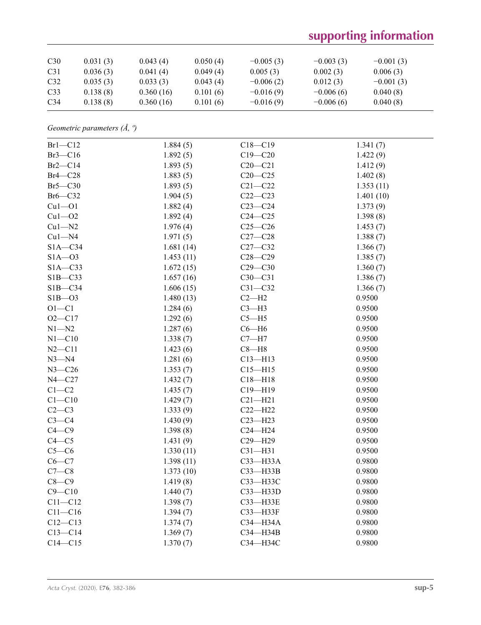# **supporting information**

| C30             | 0.031(3) | 0.043(4)  | 0.050(4) | $-0.005(3)$ | $-0.003(3)$ | $-0.001(3)$ |  |
|-----------------|----------|-----------|----------|-------------|-------------|-------------|--|
| C31             | 0.036(3) | 0.041(4)  | 0.049(4) | 0.005(3)    | 0.002(3)    | 0.006(3)    |  |
| C <sub>32</sub> | 0.035(3) | 0.033(3)  | 0.043(4) | $-0.006(2)$ | 0.012(3)    | $-0.001(3)$ |  |
| C <sub>33</sub> | 0.138(8) | 0.360(16) | 0.101(6) | $-0.016(9)$ | $-0.006(6)$ | 0.040(8)    |  |
| C <sub>34</sub> | 0.138(8) | 0.360(16) | 0.101(6) | $-0.016(9)$ | $-0.006(6)$ | 0.040(8)    |  |

*Geometric parameters (Å, º)*

| $Br1-C12$   | 1.884(5)  | $C18 - C19$ | 1.341(7)  |
|-------------|-----------|-------------|-----------|
| $Br3-C16$   | 1.892(5)  | $C19 - C20$ | 1.422(9)  |
| $Br2-C14$   | 1.893(5)  | $C20 - C21$ | 1.412(9)  |
| $Br4-C28$   | 1.883(5)  | $C20-C25$   | 1.402(8)  |
| $Br5-C30$   | 1.893(5)  | $C21 - C22$ | 1.353(11) |
| Br6-C32     | 1.904(5)  | $C22-C23$   | 1.401(10) |
| $Cu1 - O1$  | 1.882(4)  | $C23-C24$   | 1.373(9)  |
| $Cu1 - O2$  | 1.892(4)  | $C24 - C25$ | 1.398(8)  |
| $Cu1 - N2$  | 1.976(4)  | $C25-C26$   | 1.453(7)  |
| $Cu1 - N4$  | 1.971(5)  | $C27-C28$   | 1.388(7)  |
| $S1A - C34$ | 1.681(14) | $C27 - C32$ | 1.366(7)  |
| $S1A - 03$  | 1.453(11) | $C28 - C29$ | 1.385(7)  |
| $S1A - C33$ | 1.672(15) | $C29 - C30$ | 1.360(7)  |
| $S1B - C33$ | 1.657(16) | $C30 - C31$ | 1.386(7)  |
| $S1B - C34$ | 1.606(15) | $C31 - C32$ | 1.366(7)  |
| $SIB - O3$  | 1.480(13) | $C2-H2$     | 0.9500    |
| $O1 - C1$   | 1.284(6)  | $C3-H3$     | 0.9500    |
| $O2 - C17$  | 1.292(6)  | $C5 - H5$   | 0.9500    |
| $N1 - N2$   | 1.287(6)  | $C6 - H6$   | 0.9500    |
| $N1 - C10$  | 1.338(7)  | $C7 - H7$   | 0.9500    |
| $N2 - C11$  | 1.423(6)  | $C8 - H8$   | 0.9500    |
| $N3 - N4$   | 1.281(6)  | $C13 - H13$ | 0.9500    |
| $N3 - C26$  | 1.353(7)  | $C15 - H15$ | 0.9500    |
| $N4 - C27$  | 1.432(7)  | $C18 - H18$ | 0.9500    |
| $C1-C2$     | 1.435(7)  | $C19 - H19$ | 0.9500    |
| $C1 - C10$  | 1.429(7)  | $C21 - H21$ | 0.9500    |
| $C2-C3$     | 1.333(9)  | $C22-H22$   | 0.9500    |
| $C3-C4$     | 1.430(9)  | $C23 - H23$ | 0.9500    |
| $C4 - C9$   | 1.398(8)  | $C24 - H24$ | 0.9500    |
| $C4 - C5$   | 1.431(9)  | C29-H29     | 0.9500    |
| $C5-C6$     | 1.330(11) | $C31 - H31$ | 0.9500    |
| $C6-C7$     | 1.398(11) | C33-H33A    | 0.9800    |
| $C7-C8$     | 1.373(10) | C33-H33B    | 0.9800    |
| $C8-C9$     | 1.419(8)  | СЗЗ-НЗЗС    | 0.9800    |
| $C9 - C10$  | 1.440(7)  | C33-H33D    | 0.9800    |
| $C11 - C12$ | 1.398(7)  | C33-H33E    | 0.9800    |
| $C11-C16$   | 1.394(7)  | C33-H33F    | 0.9800    |
| $C12 - C13$ | 1.374(7)  | C34-H34A    | 0.9800    |
| $C13-C14$   | 1.369(7)  | C34-H34B    | 0.9800    |
| $C14 - C15$ | 1.370(7)  | СЗ4-НЗ4С    | 0.9800    |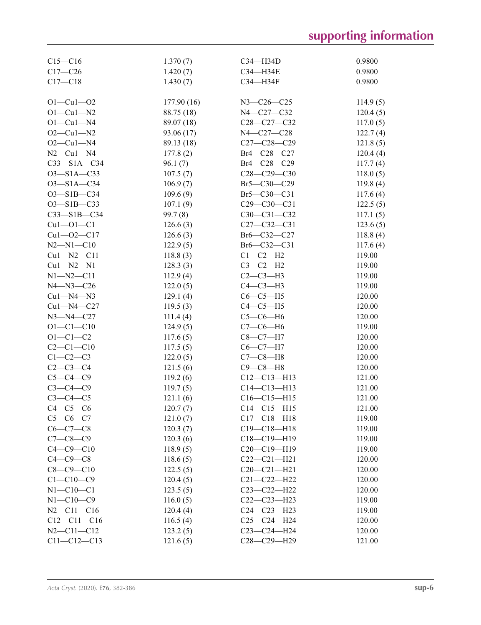| $C15 - C16$       | 1.370(7)   | $C34 - H34D$      | 0.9800   |
|-------------------|------------|-------------------|----------|
| $C17 - C26$       | 1.420(7)   | C34-H34E          | 0.9800   |
| $C17 - C18$       | 1.430(7)   | C34-H34F          | 0.9800   |
| $O1 - Cu1 - O2$   | 177.90(16) | $N3 - C26 - C25$  | 114.9(5) |
| $O1 - Cu1 - N2$   | 88.75 (18) | N4-C27-C32        | 120.4(5) |
| $O1-Cu1-N4$       | 89.07 (18) | $C28-C27-C32$     | 117.0(5) |
| $O2 - Cu1 - N2$   | 93.06 (17) | N4-C27-C28        | 122.7(4) |
| $O2 - Cu1 - N4$   | 89.13 (18) | $C27-C28-C29$     | 121.8(5) |
| $N2-Cu1-N4$       | 177.8(2)   | Br4-C28-C27       | 120.4(4) |
| $C33 - S1A - C34$ | 96.1(7)    | Br4-C28-C29       | 117.7(4) |
| $O3 - S1A - C33$  | 107.5(7)   | $C28 - C29 - C30$ | 118.0(5) |
| $O3 - S1A - C34$  | 106.9(7)   | Br5-C30-C29       | 119.8(4) |
| O3-S1B-C34        | 109.6(9)   | $Br5 - C30 - C31$ | 117.6(4) |
| $O3 - S1B - C33$  | 107.1(9)   | $C29 - C30 - C31$ | 122.5(5) |
| $C33 - S1B - C34$ | 99.7(8)    | $C30-C31-C32$     | 117.1(5) |
| $Cu1 - O1 - C1$   | 126.6(3)   | $C27 - C32 - C31$ | 123.6(5) |
| $Cu1 - O2 - C17$  | 126.6(3)   | Br6-C32-C27       | 118.8(4) |
| $N2 - N1 - C10$   | 122.9(5)   | Br6-C32-C31       | 117.6(4) |
| $Cu1 - N2 - C11$  | 118.8(3)   | $C1-C2-H2$        | 119.00   |
| $Cu1 - N2 - N1$   | 128.3(3)   | $C3-C2-H2$        | 119.00   |
| $N1 - N2 - C11$   | 112.9(4)   | $C2-C3-H3$        | 119.00   |
| $N4 - N3 - C26$   | 122.0(5)   | $C4-C3-H3$        | 119.00   |
| $Cu1 - N4 - N3$   | 129.1(4)   | $C6-C5-H5$        | 120.00   |
| $Cu1 - N4 - C27$  | 119.5(3)   | $C4-C5-H5$        | 120.00   |
| $N3 - N4 - C27$   | 111.4(4)   | $C5-C6-H6$        | 120.00   |
| $O1 - C1 - C10$   | 124.9(5)   | $C7-C6-H6$        | 119.00   |
| $O1 - C1 - C2$    | 117.6(5)   | $C8-C7-H7$        | 120.00   |
| $C2 - C1 - C10$   | 117.5(5)   | $C6-C7-H7$        | 120.00   |
| $C1-C2-C3$        | 122.0(5)   | $C7-C8-H8$        | 120.00   |
| $C2-C3-C4$        | 121.5(6)   | $C9 - C8 - H8$    | 120.00   |
| $C5 - C4 - C9$    | 119.2(6)   | $C12 - C13 - H13$ | 121.00   |
| $C3 - C4 - C9$    | 119.7(5)   | $C14 - C13 - H13$ | 121.00   |
| $C3-C4-C5$        | 121.1(6)   | $C16-C15-H15$     | 121.00   |
| $C4-C5-C6$        | 120.7(7)   | $C14 - C15 - H15$ | 121.00   |
| $C5-C6-C7$        | 121.0(7)   | $C17 - C18 - H18$ | 119.00   |
| $C6-C7-C8$        | 120.3(7)   | $C19 - C18 - H18$ | 119.00   |
| $C7 - C8 - C9$    | 120.3(6)   | $C18 - C19 - H19$ | 119.00   |
| $C4 - C9 - C10$   | 118.9(5)   | $C20-C19-H19$     | 119.00   |
| $C4-C9-C8$        | 118.6(5)   | $C22-C21-H21$     | 120.00   |
| $C8 - C9 - C10$   | 122.5(5)   | $C20 - C21 - H21$ | 120.00   |
| $C1 - C10 - C9$   | 120.4(5)   | $C21 - C22 - H22$ | 120.00   |
| $N1 - C10 - C1$   | 123.5(5)   | $C23 - C22 - H22$ | 120.00   |
| $N1 - C10 - C9$   | 116.0(5)   | $C22-C23-H23$     | 119.00   |
| $N2 - C11 - C16$  | 120.4(4)   | $C24 - C23 - H23$ | 119.00   |
| $C12 - C11 - C16$ | 116.5(4)   | $C25 - C24 - H24$ | 120.00   |
| $N2 - C11 - C12$  | 123.2(5)   | C23-C24-H24       | 120.00   |
| $C11 - C12 - C13$ |            | C28-C29-H29       | 121.00   |
|                   | 121.6(5)   |                   |          |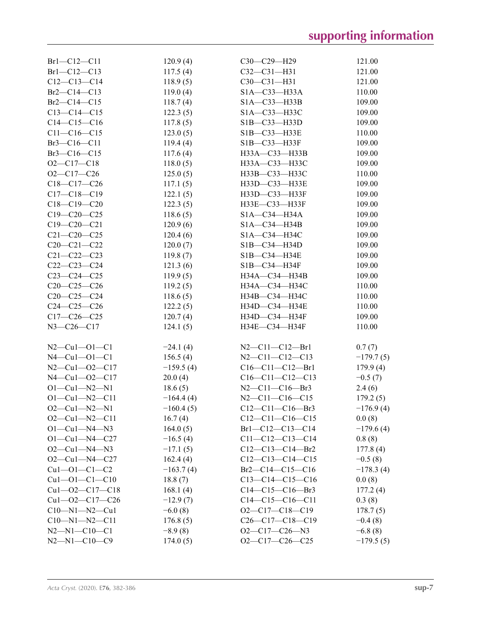| $Br1-C12-C11$          | 120.9(4)    | $C30-C29-H29$                 | 121.00      |
|------------------------|-------------|-------------------------------|-------------|
| $Br1 - Cl2 - Cl3$      | 117.5(4)    | $C32-C31-H31$                 | 121.00      |
| $C12-C13-C14$          | 118.9(5)    | C30-C31-H31                   | 121.00      |
| Br2-C14-C13            | 119.0(4)    | $SIA - C33 - H33A$            | 110.00      |
| Br2-C14-C15            | 118.7(4)    | $SIA - C33 - H33B$            | 109.00      |
| $C13 - C14 - C15$      | 122.3(5)    | S1A-C33-H33C                  | 109.00      |
| $C14-C15-C16$          | 117.8(5)    | $SIB - C33 - H33D$            | 109.00      |
| $C11 - C16 - C15$      | 123.0(5)    | S1B-C33-H33E                  | 110.00      |
| $Br3-C16-C11$          | 119.4(4)    | S1B-C33-H33F                  | 109.00      |
| $Br3-C16-C15$          | 117.6(4)    | H33A-C33-H33B                 | 109.00      |
| $O2 - C17 - C18$       | 118.0(5)    | H33A-C33-H33C                 | 109.00      |
| $O2-C17-C26$           | 125.0(5)    | H33B-C33-H33C                 | 110.00      |
| $C18-C17-C26$          | 117.1(5)    | H33D-C33-H33E                 | 109.00      |
| $C17 - C18 - C19$      | 122.1(5)    | H33D-C33-H33F                 | 109.00      |
| $C18-C19-C20$          | 122.3(5)    | H33E-C33-H33F                 | 109.00      |
| $C19 - C20 - C25$      | 118.6(5)    | $SIA - C34 - H34A$            | 109.00      |
| $C19 - C20 - C21$      | 120.9(6)    | $SIA - C34 - H34B$            | 109.00      |
| $C21 - C20 - C25$      | 120.4(6)    | S1A-C34-H34C                  | 109.00      |
| $C20 - C21 - C22$      | 120.0(7)    | S1B-C34-H34D                  | 109.00      |
| $C21 - C22 - C23$      |             | S1B-C34-H34E                  |             |
|                        | 119.8(7)    |                               | 109.00      |
| $C22-C23-C24$          | 121.3(6)    | $SIB - C34 - H34F$            | 109.00      |
| $C23-C24-C25$          | 119.9(5)    | H34A-C34-H34B                 | 109.00      |
| $C20-C25-C26$          | 119.2(5)    | H34A-C34-H34C                 | 110.00      |
| $C20-C25-C24$          | 118.6(5)    | H34B-C34-H34C                 | 110.00      |
| $C24 - C25 - C26$      | 122.2(5)    | H34D-C34-H34E                 | 110.00      |
| $C17-C26-C25$          | 120.7(4)    | H34D-C34-H34F                 | 109.00      |
| $N3 - C26 - C17$       | 124.1(5)    | H34E-C34-H34F                 | 110.00      |
|                        |             |                               |             |
| $N2-Cu1-O1-C1$         | $-24.1(4)$  | $N2 - C11 - C12 - Br1$        | 0.7(7)      |
| $N4 - Cu1 - O1 - C1$   | 156.5(4)    | $N2 - C11 - C12 - C13$        | $-179.7(5)$ |
| $N2-Cu1-O2-C17$        | $-159.5(4)$ | $C16-C11-C12-Br1$             | 179.9(4)    |
| $N4 - Cu1 - 02 - C17$  | 20.0(4)     | $C16-C11-C12-C13$             | $-0.5(7)$   |
| $O1 - Cu1 - N2 - N1$   | 18.6(5)     | $N2 - C11 - C16 - Br3$        | 2.4(6)      |
| $O1 - Cu1 - N2 - C11$  | $-164.4(4)$ | $N2 - C11 - C16 - C15$        | 179.2(5)    |
| $O2$ —Cu1—N2—N1        | $-160.4(5)$ | $C12-C11-C16-Br3$             | $-176.9(4)$ |
| $O2-Cu1-N2-C11$        | 16.7(4)     | $C12-C11-C16-C15$             | 0.0(8)      |
| $O1 - Cu1 - N4 - N3$   | 164.0(5)    | $Br1-C12-C13-C14$             | $-179.6(4)$ |
| $O1 - Cu1 - N4 - C27$  | $-16.5(4)$  | $C11-C12-C13-C14$             | 0.8(8)      |
| $O2$ —Cu1—N4—N3        | $-17.1(5)$  | $C12-C13-C14-Br2$             | 177.8(4)    |
| $O2$ —Cu1—N4—C27       | 162.4(4)    | $C12-C13-C14-C15$             | $-0.5(8)$   |
| $Cu1 - O1 - C1 - C2$   | $-163.7(4)$ | $Br2$ — $Cl4$ — $Cl5$ — $Cl6$ | $-178.3(4)$ |
| $Cu1 - O1 - C1 - C10$  | 18.8(7)     | $C13-C14-C15-C16$             | 0.0(8)      |
| $Cu1 - O2 - C17 - C18$ | 168.1(4)    | $C14-C15-C16-Br3$             | 177.2(4)    |
| $Cu1 - O2 - C17 - C26$ | $-12.9(7)$  | $C14-C15-C16-C11$             | 0.3(8)      |
| $C10-M1-N2-Cu1$        | $-6.0(8)$   | $O2-C17-C18-C19$              | 178.7(5)    |
| $C10-M1-N2-C11$        | 176.8(5)    | $C26-C17-C18-C19$             | $-0.4(8)$   |
| $N2 - N1 - C10 - C1$   | $-8.9(8)$   | $O2-C17-C26-N3$               | $-6.8(8)$   |
| $N2 - N1 - C10 - C9$   | 174.0(5)    | $O2-C17-C26-C25$              | $-179.5(5)$ |